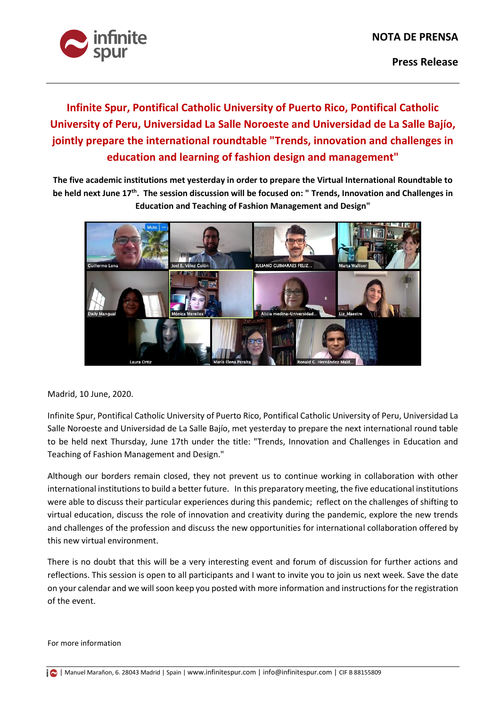

**Infinite Spur, Pontifical Catholic University of Puerto Rico, Pontifical Catholic University of Peru, Universidad La Salle Noroeste and Universidad de La Salle Bajío, jointly prepare the international roundtable "Trends, innovation and challenges in education and learning of fashion design and management"**

**The five academic institutions met yesterday in order to prepare the Virtual International Roundtable to be held next June 17th. The session discussion will be focused on: " Trends, Innovation and Challenges in Education and Teaching of Fashion Management and Design"**



Madrid, 10 June, 2020.

Infinite Spur, Pontifical Catholic University of Puerto Rico, Pontifical Catholic University of Peru, Universidad La Salle Noroeste and Universidad de La Salle Bajío, met yesterday to prepare the next international round table to be held next Thursday, June 17th under the title: "Trends, Innovation and Challenges in Education and Teaching of Fashion Management and Design."

Although our borders remain closed, they not prevent us to continue working in collaboration with other international institutions to build a better future. In this preparatory meeting, the five educational institutions were able to discuss their particular experiences during this pandemic; reflect on the challenges of shifting to virtual education, discuss the role of innovation and creativity during the pandemic, explore the new trends and challenges of the profession and discuss the new opportunities for international collaboration offered by this new virtual environment.

There is no doubt that this will be a very interesting event and forum of discussion for further actions and reflections. This session is open to all participants and I want to invite you to join us next week. Save the date on your calendar and we will soon keep you posted with more information and instructions for the registration of the event.

For more information